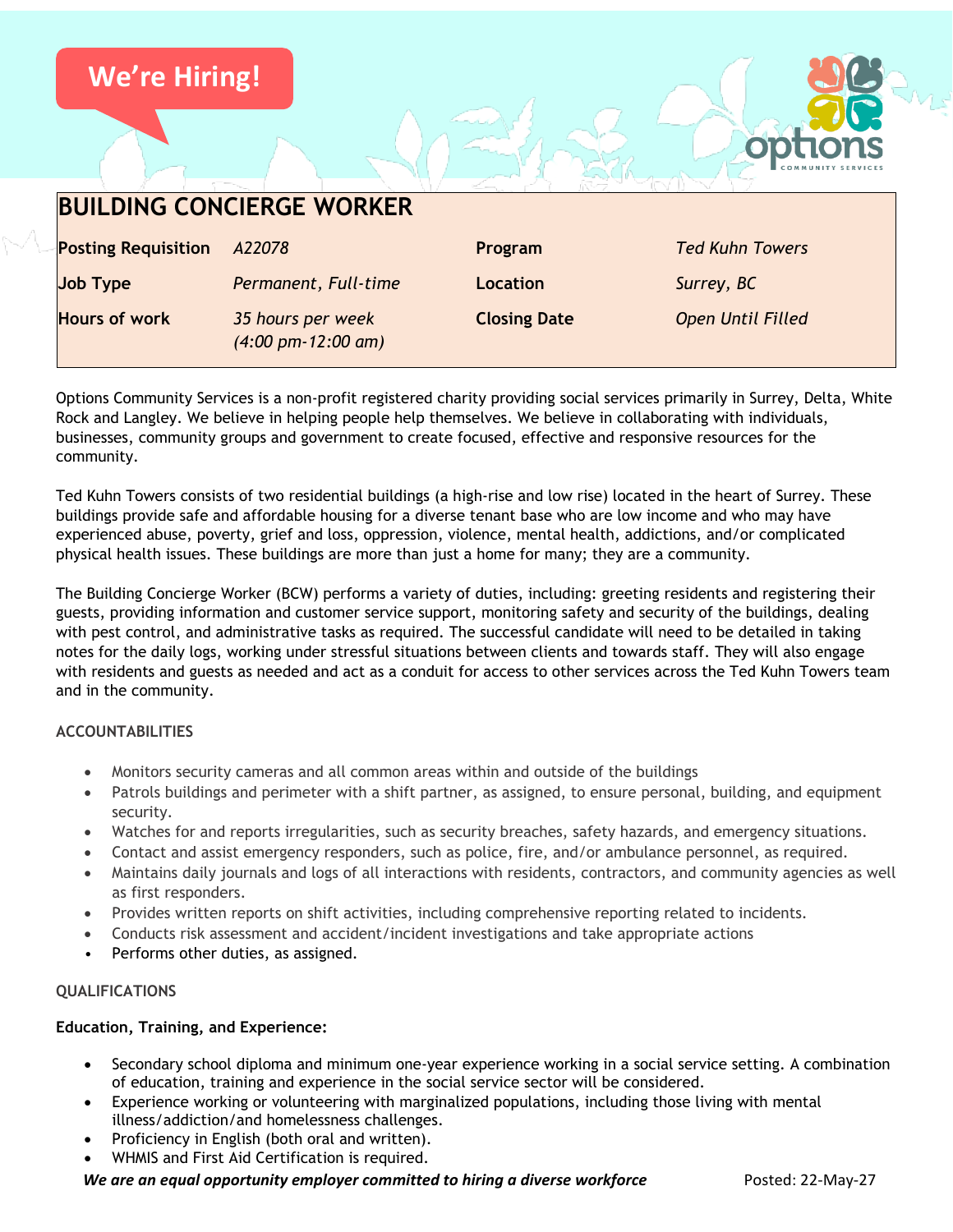

Options Community Services is a non-profit registered charity providing social services primarily in Surrey, Delta, White Rock and Langley. We believe in helping people help themselves. We believe in collaborating with individuals, businesses, community groups and government to create focused, effective and responsive resources for the community.

**Closing Date** *Open Until Filled*

Ted Kuhn Towers consists of two residential buildings (a high-rise and low rise) located in the heart of Surrey. These buildings provide safe and affordable housing for a diverse tenant base who are low income and who may have experienced abuse, poverty, grief and loss, oppression, violence, mental health, addictions, and/or complicated physical health issues. These buildings are more than just a home for many; they are a community.

The Building Concierge Worker (BCW) performs a variety of duties, including: greeting residents and registering their guests, providing information and customer service support, monitoring safety and security of the buildings, dealing with pest control, and administrative tasks as required. The successful candidate will need to be detailed in taking notes for the daily logs, working under stressful situations between clients and towards staff. They will also engage with residents and guests as needed and act as a conduit for access to other services across the Ted Kuhn Towers team and in the community.

# **ACCOUNTABILITIES**

- Monitors security cameras and all common areas within and outside of the buildings
- Patrols buildings and perimeter with a shift partner, as assigned, to ensure personal, building, and equipment security.
- Watches for and reports irregularities, such as security breaches, safety hazards, and emergency situations.
- Contact and assist emergency responders, such as police, fire, and/or ambulance personnel, as required.
- Maintains daily journals and logs of all interactions with residents, contractors, and community agencies as well as first responders.
- Provides written reports on shift activities, including comprehensive reporting related to incidents.
- Conducts risk assessment and accident/incident investigations and take appropriate actions
- Performs other duties, as assigned.

**Hours of work** *35 hours per week*

*(4:00 pm-12:00 am)*

#### **QUALIFICATIONS**

#### **Education, Training, and Experience:**

- Secondary school diploma and minimum one-year experience working in a social service setting. A combination of education, training and experience in the social service sector will be considered.
- Experience working or volunteering with marginalized populations, including those living with mental illness/addiction/and homelessness challenges.
- Proficiency in English (both oral and written).
- WHMIS and First Aid Certification is required.

*We are an equal opportunity employer committed to hiring a diverse workforce* Posted: 22-May-27